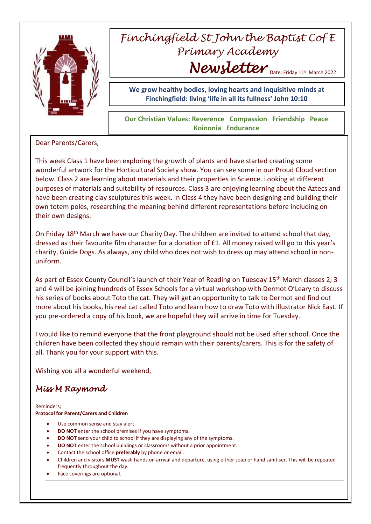

## *Finchingfield St John the Baptist Cof E Primary Academy Newsletter* Date: Friday 11th March 2022

**We grow healthy bodies, loving hearts and inquisitive minds at Finchingfield: living 'life in all its fullness' John 10:10**

**Our Christian Values: Reverence Compassion Friendship Peace Koinonia Endurance**

Dear Parents/Carers,

This week Class 1 have been exploring the growth of plants and have started creating some wonderful artwork for the Horticultural Society show. You can see some in our Proud Cloud section below. Class 2 are learning about materials and their properties in Science. Looking at different purposes of materials and suitability of resources. Class 3 are enjoying learning about the Aztecs and have been creating clay sculptures this week. In Class 4 they have been designing and building their own totem poles, researching the meaning behind different representations before including on their own designs.

On Friday 18<sup>th</sup> March we have our Charity Day. The children are invited to attend school that day, dressed as their favourite film character for a donation of £1. All money raised will go to this year's charity, Guide Dogs. As always, any child who does not wish to dress up may attend school in nonuniform.

As part of Essex County Council's launch of their Year of Reading on Tuesday 15<sup>th</sup> March classes 2, 3 and 4 will be joining hundreds of Essex Schools for a virtual workshop with Dermot O'Leary to discuss his series of books about Toto the cat. They will get an opportunity to talk to Dermot and find out more about his books, his real cat called Toto and learn how to draw Toto with illustrator Nick East. If you pre-ordered a copy of his book, we are hopeful they will arrive in time for Tuesday.

I would like to remind everyone that the front playground should not be used after school. Once the children have been collected they should remain with their parents/carers. This is for the safety of all. Thank you for your support with this.

Wishing you all a wonderful weekend,

## *Miss M Raymond*

Reminders; **Protocol for Parent/Carers and Children**

- Use common sense and stay alert.
- **DO NOT** enter the school premises if you have symptoms.
- **DO NOT** send your child to school if they are displaying any of the symptoms.
- **DO NOT** enter the school buildings or classrooms without a prior appointment.
- Contact the school office **preferably** by phone or email.
- Children and visitors **MUST** wash hands on arrival and departure, using either soap or hand sanitiser. This will be repeated frequently throughout the day.
- Face coverings are optional.